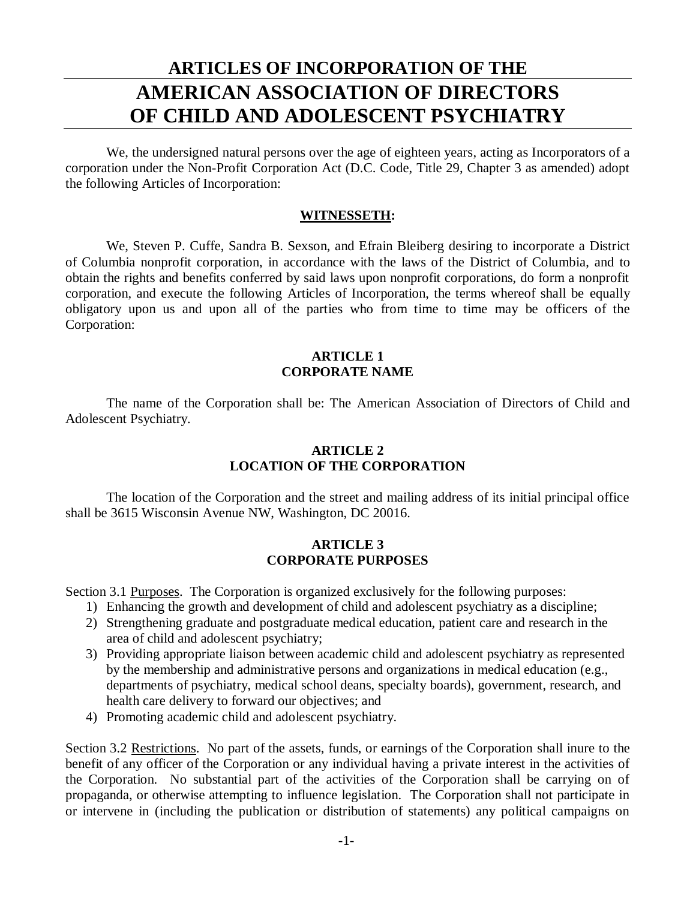# **ARTICLES OF INCORPORATION OF THE AMERICAN ASSOCIATION OF DIRECTORS OF CHILD AND ADOLESCENT PSYCHIATRY**

We, the undersigned natural persons over the age of eighteen years, acting as Incorporators of a corporation under the Non-Profit Corporation Act (D.C. Code, Title 29, Chapter 3 as amended) adopt the following Articles of Incorporation:

#### **WITNESSETH:**

We, Steven P. Cuffe, Sandra B. Sexson, and Efrain Bleiberg desiring to incorporate a District of Columbia nonprofit corporation, in accordance with the laws of the District of Columbia, and to obtain the rights and benefits conferred by said laws upon nonprofit corporations, do form a nonprofit corporation, and execute the following Articles of Incorporation, the terms whereof shall be equally obligatory upon us and upon all of the parties who from time to time may be officers of the Corporation:

#### **ARTICLE 1 CORPORATE NAME**

The name of the Corporation shall be: The American Association of Directors of Child and Adolescent Psychiatry.

## **ARTICLE 2 LOCATION OF THE CORPORATION**

The location of the Corporation and the street and mailing address of its initial principal office shall be 3615 Wisconsin Avenue NW, Washington, DC 20016.

#### **ARTICLE 3 CORPORATE PURPOSES**

Section 3.1 Purposes. The Corporation is organized exclusively for the following purposes:

- 1) Enhancing the growth and development of child and adolescent psychiatry as a discipline;
- 2) Strengthening graduate and postgraduate medical education, patient care and research in the area of child and adolescent psychiatry;
- 3) Providing appropriate liaison between academic child and adolescent psychiatry as represented by the membership and administrative persons and organizations in medical education (e.g., departments of psychiatry, medical school deans, specialty boards), government, research, and health care delivery to forward our objectives; and
- 4) Promoting academic child and adolescent psychiatry.

Section 3.2 Restrictions. No part of the assets, funds, or earnings of the Corporation shall inure to the benefit of any officer of the Corporation or any individual having a private interest in the activities of the Corporation. No substantial part of the activities of the Corporation shall be carrying on of propaganda, or otherwise attempting to influence legislation. The Corporation shall not participate in or intervene in (including the publication or distribution of statements) any political campaigns on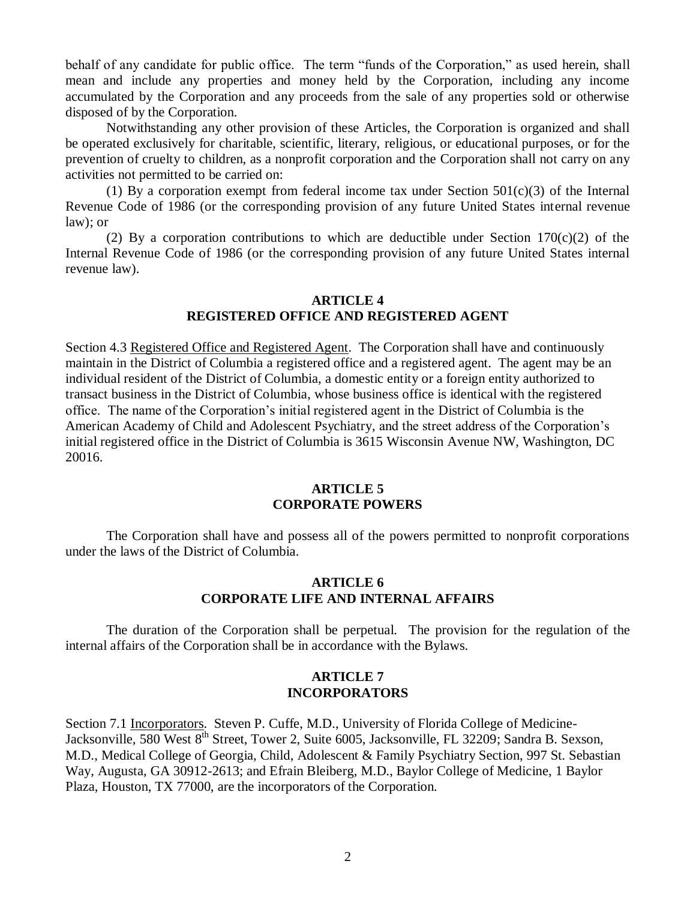behalf of any candidate for public office. The term "funds of the Corporation," as used herein, shall mean and include any properties and money held by the Corporation, including any income accumulated by the Corporation and any proceeds from the sale of any properties sold or otherwise disposed of by the Corporation.

Notwithstanding any other provision of these Articles, the Corporation is organized and shall be operated exclusively for charitable, scientific, literary, religious, or educational purposes, or for the prevention of cruelty to children, as a nonprofit corporation and the Corporation shall not carry on any activities not permitted to be carried on:

(1) By a corporation exempt from federal income tax under Section  $501(c)(3)$  of the Internal Revenue Code of 1986 (or the corresponding provision of any future United States internal revenue law); or

(2) By a corporation contributions to which are deductible under Section 170(c)(2) of the Internal Revenue Code of 1986 (or the corresponding provision of any future United States internal revenue law).

## **ARTICLE 4**

## **REGISTERED OFFICE AND REGISTERED AGENT**

Section 4.3 Registered Office and Registered Agent. The Corporation shall have and continuously maintain in the District of Columbia a registered office and a registered agent. The agent may be an individual resident of the District of Columbia, a domestic entity or a foreign entity authorized to transact business in the District of Columbia, whose business office is identical with the registered office. The name of the Corporation's initial registered agent in the District of Columbia is the American Academy of Child and Adolescent Psychiatry, and the street address of the Corporation's initial registered office in the District of Columbia is 3615 Wisconsin Avenue NW, Washington, DC 20016.

#### **ARTICLE 5 CORPORATE POWERS**

The Corporation shall have and possess all of the powers permitted to nonprofit corporations under the laws of the District of Columbia.

#### **ARTICLE 6 CORPORATE LIFE AND INTERNAL AFFAIRS**

The duration of the Corporation shall be perpetual. The provision for the regulation of the internal affairs of the Corporation shall be in accordance with the Bylaws.

#### **ARTICLE 7 INCORPORATORS**

Section 7.1 Incorporators. Steven P. Cuffe, M.D., University of Florida College of Medicine-Jacksonville, 580 West 8<sup>th</sup> Street, Tower 2, Suite 6005, Jacksonville, FL 32209; Sandra B. Sexson, M.D., Medical College of Georgia, Child, Adolescent & Family Psychiatry Section, 997 St. Sebastian Way, Augusta, GA 30912-2613; and Efrain Bleiberg, M.D., Baylor College of Medicine, 1 Baylor Plaza, Houston, TX 77000, are the incorporators of the Corporation.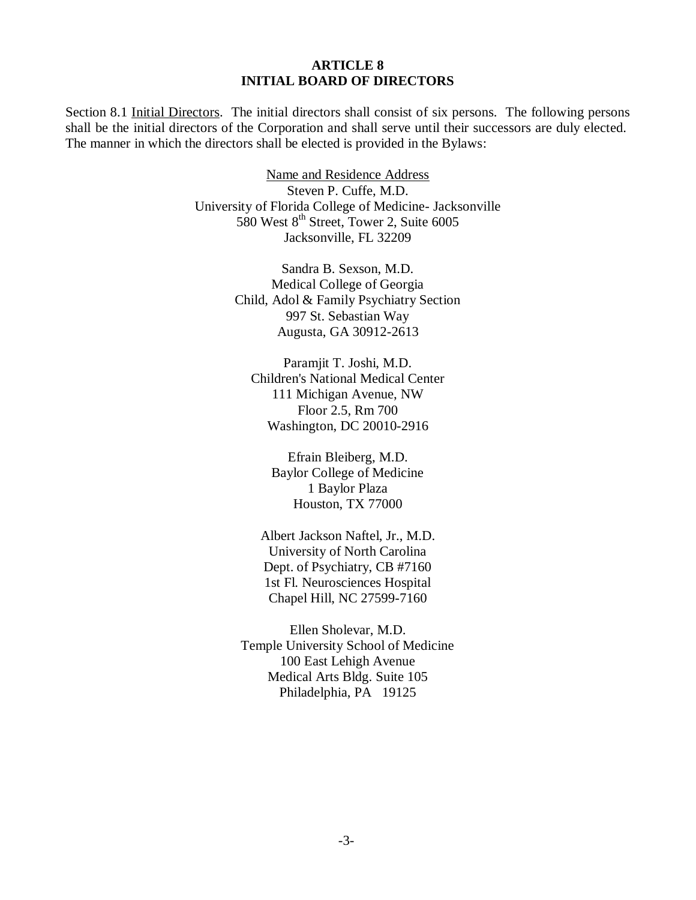#### **ARTICLE 8 INITIAL BOARD OF DIRECTORS**

Section 8.1 Initial Directors. The initial directors shall consist of six persons. The following persons shall be the initial directors of the Corporation and shall serve until their successors are duly elected. The manner in which the directors shall be elected is provided in the Bylaws:

> Name and Residence Address Steven P. Cuffe, M.D. University of Florida College of Medicine- Jacksonville 580 West 8<sup>th</sup> Street, Tower 2, Suite 6005 Jacksonville, FL 32209

> > Sandra B. Sexson, M.D. Medical College of Georgia Child, Adol & Family Psychiatry Section 997 St. Sebastian Way Augusta, GA 30912-2613

Paramjit T. Joshi, M.D. Children's National Medical Center 111 Michigan Avenue, NW Floor 2.5, Rm 700 Washington, DC 20010-2916

> Efrain Bleiberg, M.D. Baylor College of Medicine 1 Baylor Plaza Houston, TX 77000

Albert Jackson Naftel, Jr., M.D. University of North Carolina Dept. of Psychiatry, CB #7160 1st Fl. Neurosciences Hospital Chapel Hill, NC 27599-7160

Ellen Sholevar, M.D. Temple University School of Medicine 100 East Lehigh Avenue Medical Arts Bldg. Suite 105 Philadelphia, PA 19125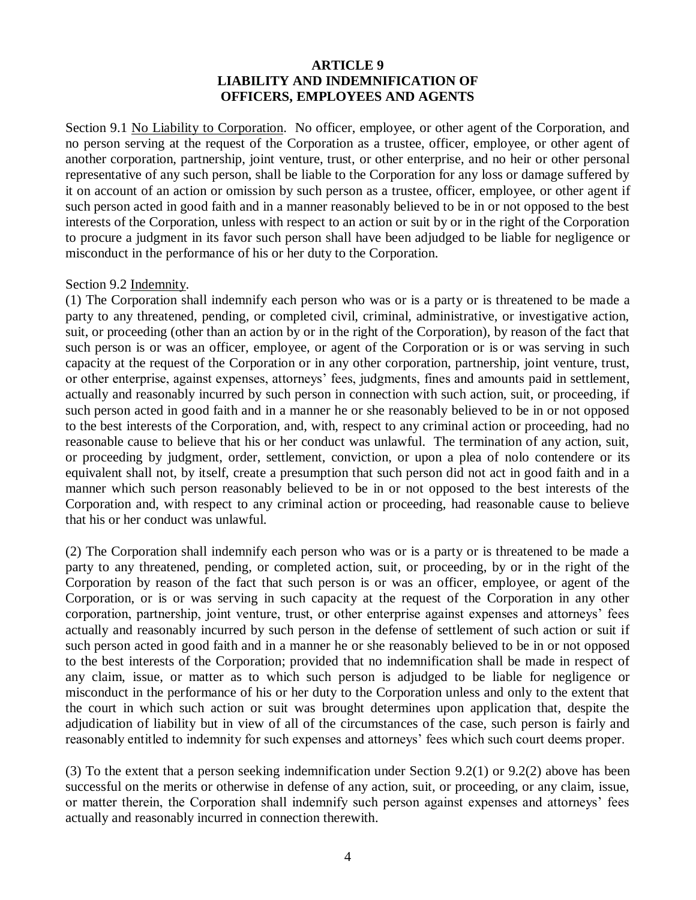## **ARTICLE 9 LIABILITY AND INDEMNIFICATION OF OFFICERS, EMPLOYEES AND AGENTS**

Section 9.1 No Liability to Corporation. No officer, employee, or other agent of the Corporation, and no person serving at the request of the Corporation as a trustee, officer, employee, or other agent of another corporation, partnership, joint venture, trust, or other enterprise, and no heir or other personal representative of any such person, shall be liable to the Corporation for any loss or damage suffered by it on account of an action or omission by such person as a trustee, officer, employee, or other agent if such person acted in good faith and in a manner reasonably believed to be in or not opposed to the best interests of the Corporation, unless with respect to an action or suit by or in the right of the Corporation to procure a judgment in its favor such person shall have been adjudged to be liable for negligence or misconduct in the performance of his or her duty to the Corporation.

#### Section 9.2 Indemnity.

(1) The Corporation shall indemnify each person who was or is a party or is threatened to be made a party to any threatened, pending, or completed civil, criminal, administrative, or investigative action, suit, or proceeding (other than an action by or in the right of the Corporation), by reason of the fact that such person is or was an officer, employee, or agent of the Corporation or is or was serving in such capacity at the request of the Corporation or in any other corporation, partnership, joint venture, trust, or other enterprise, against expenses, attorneys' fees, judgments, fines and amounts paid in settlement, actually and reasonably incurred by such person in connection with such action, suit, or proceeding, if such person acted in good faith and in a manner he or she reasonably believed to be in or not opposed to the best interests of the Corporation, and, with, respect to any criminal action or proceeding, had no reasonable cause to believe that his or her conduct was unlawful. The termination of any action, suit, or proceeding by judgment, order, settlement, conviction, or upon a plea of nolo contendere or its equivalent shall not, by itself, create a presumption that such person did not act in good faith and in a manner which such person reasonably believed to be in or not opposed to the best interests of the Corporation and, with respect to any criminal action or proceeding, had reasonable cause to believe that his or her conduct was unlawful.

(2) The Corporation shall indemnify each person who was or is a party or is threatened to be made a party to any threatened, pending, or completed action, suit, or proceeding, by or in the right of the Corporation by reason of the fact that such person is or was an officer, employee, or agent of the Corporation, or is or was serving in such capacity at the request of the Corporation in any other corporation, partnership, joint venture, trust, or other enterprise against expenses and attorneys' fees actually and reasonably incurred by such person in the defense of settlement of such action or suit if such person acted in good faith and in a manner he or she reasonably believed to be in or not opposed to the best interests of the Corporation; provided that no indemnification shall be made in respect of any claim, issue, or matter as to which such person is adjudged to be liable for negligence or misconduct in the performance of his or her duty to the Corporation unless and only to the extent that the court in which such action or suit was brought determines upon application that, despite the adjudication of liability but in view of all of the circumstances of the case, such person is fairly and reasonably entitled to indemnity for such expenses and attorneys' fees which such court deems proper.

(3) To the extent that a person seeking indemnification under Section 9.2(1) or 9.2(2) above has been successful on the merits or otherwise in defense of any action, suit, or proceeding, or any claim, issue, or matter therein, the Corporation shall indemnify such person against expenses and attorneys' fees actually and reasonably incurred in connection therewith.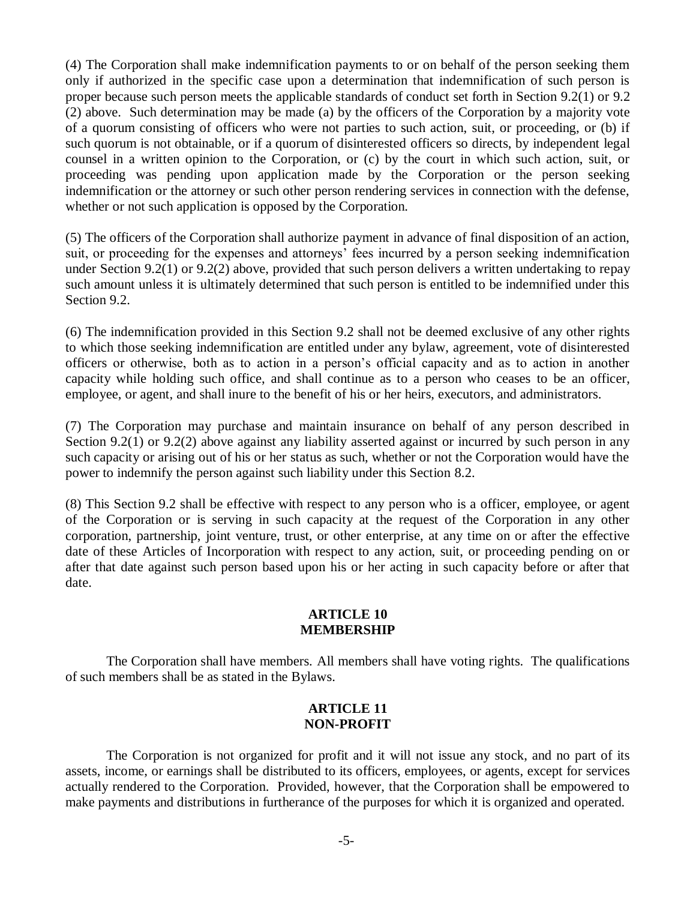(4) The Corporation shall make indemnification payments to or on behalf of the person seeking them only if authorized in the specific case upon a determination that indemnification of such person is proper because such person meets the applicable standards of conduct set forth in Section 9.2(1) or 9.2 (2) above. Such determination may be made (a) by the officers of the Corporation by a majority vote of a quorum consisting of officers who were not parties to such action, suit, or proceeding, or (b) if such quorum is not obtainable, or if a quorum of disinterested officers so directs, by independent legal counsel in a written opinion to the Corporation, or (c) by the court in which such action, suit, or proceeding was pending upon application made by the Corporation or the person seeking indemnification or the attorney or such other person rendering services in connection with the defense, whether or not such application is opposed by the Corporation.

(5) The officers of the Corporation shall authorize payment in advance of final disposition of an action, suit, or proceeding for the expenses and attorneys' fees incurred by a person seeking indemnification under Section 9.2(1) or 9.2(2) above, provided that such person delivers a written undertaking to repay such amount unless it is ultimately determined that such person is entitled to be indemnified under this Section 9.2.

(6) The indemnification provided in this Section 9.2 shall not be deemed exclusive of any other rights to which those seeking indemnification are entitled under any bylaw, agreement, vote of disinterested officers or otherwise, both as to action in a person's official capacity and as to action in another capacity while holding such office, and shall continue as to a person who ceases to be an officer, employee, or agent, and shall inure to the benefit of his or her heirs, executors, and administrators.

(7) The Corporation may purchase and maintain insurance on behalf of any person described in Section 9.2(1) or 9.2(2) above against any liability asserted against or incurred by such person in any such capacity or arising out of his or her status as such, whether or not the Corporation would have the power to indemnify the person against such liability under this Section 8.2.

(8) This Section 9.2 shall be effective with respect to any person who is a officer, employee, or agent of the Corporation or is serving in such capacity at the request of the Corporation in any other corporation, partnership, joint venture, trust, or other enterprise, at any time on or after the effective date of these Articles of Incorporation with respect to any action, suit, or proceeding pending on or after that date against such person based upon his or her acting in such capacity before or after that date.

#### **ARTICLE 10 MEMBERSHIP**

The Corporation shall have members. All members shall have voting rights. The qualifications of such members shall be as stated in the Bylaws.

#### **ARTICLE 11 NON-PROFIT**

The Corporation is not organized for profit and it will not issue any stock, and no part of its assets, income, or earnings shall be distributed to its officers, employees, or agents, except for services actually rendered to the Corporation. Provided, however, that the Corporation shall be empowered to make payments and distributions in furtherance of the purposes for which it is organized and operated.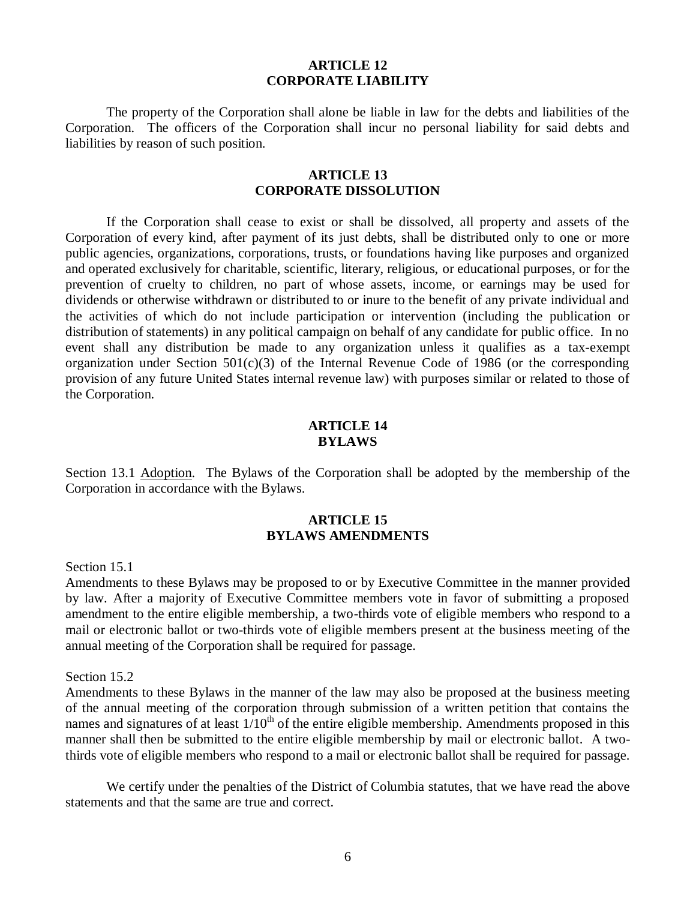#### **ARTICLE 12 CORPORATE LIABILITY**

The property of the Corporation shall alone be liable in law for the debts and liabilities of the Corporation. The officers of the Corporation shall incur no personal liability for said debts and liabilities by reason of such position.

#### **ARTICLE 13 CORPORATE DISSOLUTION**

If the Corporation shall cease to exist or shall be dissolved, all property and assets of the Corporation of every kind, after payment of its just debts, shall be distributed only to one or more public agencies, organizations, corporations, trusts, or foundations having like purposes and organized and operated exclusively for charitable, scientific, literary, religious, or educational purposes, or for the prevention of cruelty to children, no part of whose assets, income, or earnings may be used for dividends or otherwise withdrawn or distributed to or inure to the benefit of any private individual and the activities of which do not include participation or intervention (including the publication or distribution of statements) in any political campaign on behalf of any candidate for public office. In no event shall any distribution be made to any organization unless it qualifies as a tax-exempt organization under Section 501(c)(3) of the Internal Revenue Code of 1986 (or the corresponding provision of any future United States internal revenue law) with purposes similar or related to those of the Corporation.

#### **ARTICLE 14 BYLAWS**

Section 13.1 Adoption. The Bylaws of the Corporation shall be adopted by the membership of the Corporation in accordance with the Bylaws.

#### **ARTICLE 15 BYLAWS AMENDMENTS**

#### Section 15.1

Amendments to these Bylaws may be proposed to or by Executive Committee in the manner provided by law. After a majority of Executive Committee members vote in favor of submitting a proposed amendment to the entire eligible membership, a two-thirds vote of eligible members who respond to a mail or electronic ballot or two-thirds vote of eligible members present at the business meeting of the annual meeting of the Corporation shall be required for passage.

#### Section 15.2

Amendments to these Bylaws in the manner of the law may also be proposed at the business meeting of the annual meeting of the corporation through submission of a written petition that contains the names and signatures of at least  $1/10<sup>th</sup>$  of the entire eligible membership. Amendments proposed in this manner shall then be submitted to the entire eligible membership by mail or electronic ballot. A twothirds vote of eligible members who respond to a mail or electronic ballot shall be required for passage.

We certify under the penalties of the District of Columbia statutes, that we have read the above statements and that the same are true and correct.